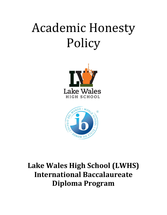# **Academic Honesty** Policy





# **Lake Wales High School (LWHS) International Baccalaureate Diploma Program**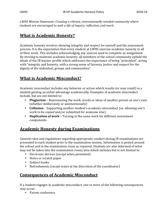*LWHS Mission Statement: Creating a vibrant, internationally-minded community where students are encouraged to seek a life of inquiry, reflection, and merit.*

# **What is Academic Honesty?**

Academic honesty involves showing integrity and respect for oneself and the assessment process. It is the expectation that every student at LWHS exercise academic honesty in all of their work. This includes acknowledging any sources used to complete an assignment. By striving to maintain academic honesty, all members of the school community uphold the ideals of the IB learner profile which addresses the importance of being "principled", acting with "integrity and honesty, with a strong sense of fairness, justice and respect for the dignity of the individual, groups and communities".

# **What is Academic Misconduct?**

Academic misconduct includes any behavior or action which results (or may result) in a student gaining an unfair advantage academically. Examples of academic misconduct include, but are not limited to:

- **Plagiarism** Representing the work, words or ideas of another person as one's own (whether deliberately or unintentionally)
- **Collusion** Supporting another student's academic misconduct (ex. allowing one's work to be copied and/or submitted for someone else)
- **Duplication of work** Turning in the same work for different assessment components

# **Academic Honesty during Examinations**

General rules and regulations regarding appropriate conduct during IB examinations are presented to each student prior to the examination session. Information is posted around the school and in the examination room as required. Students are also informed of what may not be taken into the examination room/area which includes but is not limited to:

- Electronic devices (except when permitted)
- Notes or scratch paper
- Subject books
- Refreshments (except water at the discretion of the coordinator)

# **Consequences of Academic Misconduct**

If a student engages in academic misconduct, one or more of the following consequences may occur:

• Parent conference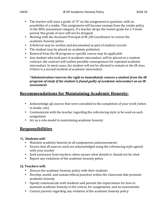- The teacher will issue a grade of "0" on the assignment in question, with no possibility of a retake. This assignment will become exempt from the retake policy in the  $80\%$  assessment category. If a teacher drops the lowest grade for a 9 week period, this grade of zero will not be dropped.
- Meeting with the Assistant Principal of IB /IB Coordinator to review the academic honesty policy.
- A Referral may be written and documented as part of student records
- The student may be placed on academic probation
- Removal from the IB program or specific course may be applicable
- Any student who took part in academic misconduct, will be placed on a student contract; the contract will outline possible consequences for repeated academic misconduct. In most cases, the student will not be allowed to remain in the IB class if there is a second incident of academic misconduct.

#### *\*Administration reserves the right to immediately remove a student from the IB program of study if the student is found guilty of academic misconduct on an IB assessment.*

# **Recommendations for Maintaining Academic Honesty:**

- Acknowledge all sources that were consulted in the completion of your work (when in doubt, cite)
- Communicate with the teacher regarding the referencing style to be used on each assignment
- Act as a role-model in maintaining academic honesty

# **Responsibilities**

#### **1). Students will:**

- Maintain academic honesty in all assignments and assessments
- Ensure that all sources used are acknowledged using the referencing style agreed with your teacher
- Seek assistance from teachers when unsure what should or should not be cited
- Report any violations of the academic honesty policy

#### **2). Teachers will:**

- Discuss the academic honesty policy with their students
- Develop, model, and sustain ethical practices within the classroom that promote academic honesty
- Openly communicate with students and parents the expectations for how to maintain academic honesty in the course, for assignments, and on assessments
- Contact parents regarding any violation of the academic honesty policy